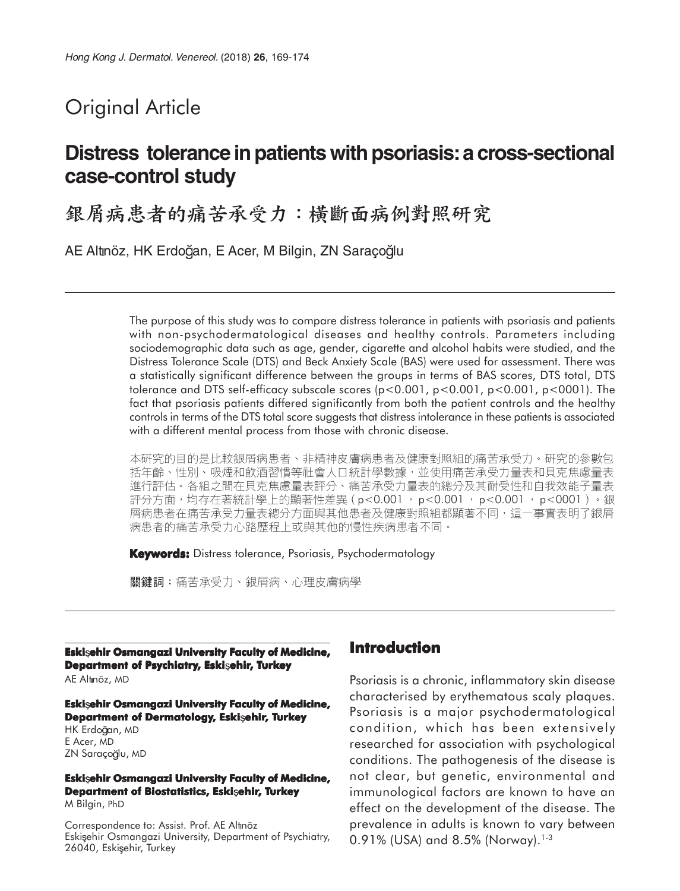# Original Article

## **Distress tolerance in patients with psoriasis: a cross-sectional case-control study**

銀屑病患者的痛苦承受力:横斷面病例對照研究

AE Altınöz, HK Erdoğan, E Acer, M Bilgin, ZN Saraçoğlu

The purpose of this study was to compare distress tolerance in patients with psoriasis and patients with non-psychodermatological diseases and healthy controls. Parameters including sociodemographic data such as age, gender, cigarette and alcohol habits were studied, and the Distress Tolerance Scale (DTS) and Beck Anxiety Scale (BAS) were used for assessment. There was a statistically significant difference between the groups in terms of BAS scores, DTS total, DTS tolerance and DTS self-efficacy subscale scores (p<0.001, p<0.001, p<0.001, p<0001). The fact that psoriasis patients differed significantly from both the patient controls and the healthy controls in terms of the DTS total score suggests that distress intolerance in these patients is associated with a different mental process from those with chronic disease.

本研究的目的是比較銀屑病患者、非精神皮膚病患者及健康對照組的痛苦承受力。研究的參數包 括年齡、性別、吸煙和飲酒習慣等社會人口統計學數據,並使用痛苦承受力量表和貝克焦慮量表 進行評估。各組之間在貝克焦慮量表評分、痛苦承受力量表的總分及其耐受性和自我效能子量表 評分方面,均存在著統計學上的顯著性差異(p<0.001 ,p<0.001 ,p<0.001 ,p<0001 )。銀 屑病患者在痛苦承受力量表總分方面與其他患者及健康對照組都顯著不同,這一事實表明了銀屑 病患者的痛苦承受力心路歷程上或與其他的慢性疾病患者不同。

**Keywords:** Distress tolerance, Psoriasis, Psychodermatology

關鍵詞:痛苦承受力、銀屑病、心理皮膚病學

**Eski ehir Osmangazi University Faculty of Medicine, Department of Psychiatry, Eskisehir, Turkey** AE Altnöz, MD

**Eski ehir Osmangazi University Faculty of Medicine, Department of Dermatology, Eski ehir, Turkey**

HK Erdoğan, MD E Acer, MD ZN Saraçoğlu, MD

**Eski ehir Osmangazi University Faculty of Medicine, Department of Biostatistics, Eskisehir, Turkey** M Bilgin, PhD

Correspondence to: Assist. Prof. AE Altnöz Eski sehir Osmangazi University, Department of Psychiatry, 26040, Eskişehir, Turkey

#### **Introduction**

Psoriasis is a chronic, inflammatory skin disease characterised by erythematous scaly plaques. Psoriasis is a major psychodermatological condition, which has been extensively researched for association with psychological conditions. The pathogenesis of the disease is not clear, but genetic, environmental and immunological factors are known to have an effect on the development of the disease. The prevalence in adults is known to vary between 0.91% (USA) and 8.5% (Norway).<sup>1-3</sup>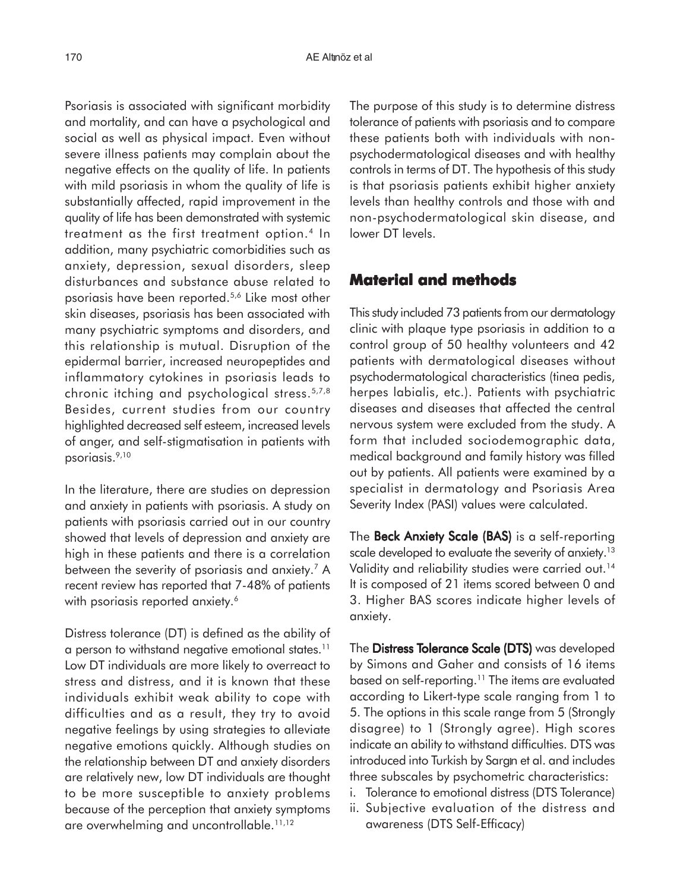Psoriasis is associated with significant morbidity and mortality, and can have a psychological and social as well as physical impact. Even without severe illness patients may complain about the negative effects on the quality of life. In patients with mild psoriasis in whom the quality of life is substantially affected, rapid improvement in the quality of life has been demonstrated with systemic treatment as the first treatment option.4 In addition, many psychiatric comorbidities such as anxiety, depression, sexual disorders, sleep disturbances and substance abuse related to psoriasis have been reported.5,6 Like most other skin diseases, psoriasis has been associated with many psychiatric symptoms and disorders, and this relationship is mutual. Disruption of the epidermal barrier, increased neuropeptides and inflammatory cytokines in psoriasis leads to chronic itching and psychological stress.5,7,8 Besides, current studies from our country highlighted decreased self esteem, increased levels of anger, and self-stigmatisation in patients with psoriasis.9,10

In the literature, there are studies on depression and anxiety in patients with psoriasis. A study on patients with psoriasis carried out in our country showed that levels of depression and anxiety are high in these patients and there is a correlation between the severity of psoriasis and anxiety.<sup>7</sup> A recent review has reported that 7-48% of patients with psoriasis reported anxiety.<sup>6</sup>

Distress tolerance (DT) is defined as the ability of a person to withstand negative emotional states.<sup>11</sup> Low DT individuals are more likely to overreact to stress and distress, and it is known that these individuals exhibit weak ability to cope with difficulties and as a result, they try to avoid negative feelings by using strategies to alleviate negative emotions quickly. Although studies on the relationship between DT and anxiety disorders are relatively new, low DT individuals are thought to be more susceptible to anxiety problems because of the perception that anxiety symptoms are overwhelming and uncontrollable.<sup>11,12</sup>

The purpose of this study is to determine distress tolerance of patients with psoriasis and to compare these patients both with individuals with nonpsychodermatological diseases and with healthy controls in terms of DT. The hypothesis of this study is that psoriasis patients exhibit higher anxiety levels than healthy controls and those with and non-psychodermatological skin disease, and lower DT levels.

#### **Material and methods**

This study included 73 patients from our dermatology clinic with plaque type psoriasis in addition to a control group of 50 healthy volunteers and 42 patients with dermatological diseases without psychodermatological characteristics (tinea pedis, herpes labialis, etc.). Patients with psychiatric diseases and diseases that affected the central nervous system were excluded from the study. A form that included sociodemographic data, medical background and family history was filled out by patients. All patients were examined by a specialist in dermatology and Psoriasis Area Severity Index (PASI) values were calculated.

The Beck Anxiety Scale (BAS) is a self-reporting scale developed to evaluate the severity of anxiety.<sup>13</sup> Validity and reliability studies were carried out.<sup>14</sup> It is composed of 21 items scored between 0 and 3. Higher BAS scores indicate higher levels of anxiety.

The Distress Tolerance Scale (DTS) was developed by Simons and Gaher and consists of 16 items based on self-reporting.<sup>11</sup> The items are evaluated according to Likert-type scale ranging from 1 to 5. The options in this scale range from 5 (Strongly disagree) to 1 (Strongly agree). High scores indicate an ability to withstand difficulties. DTS was introduced into Turkish by Sargin et al. and includes three subscales by psychometric characteristics:

- i. Tolerance to emotional distress (DTS Tolerance)
- ii. Subjective evaluation of the distress and awareness (DTS Self-Efficacy)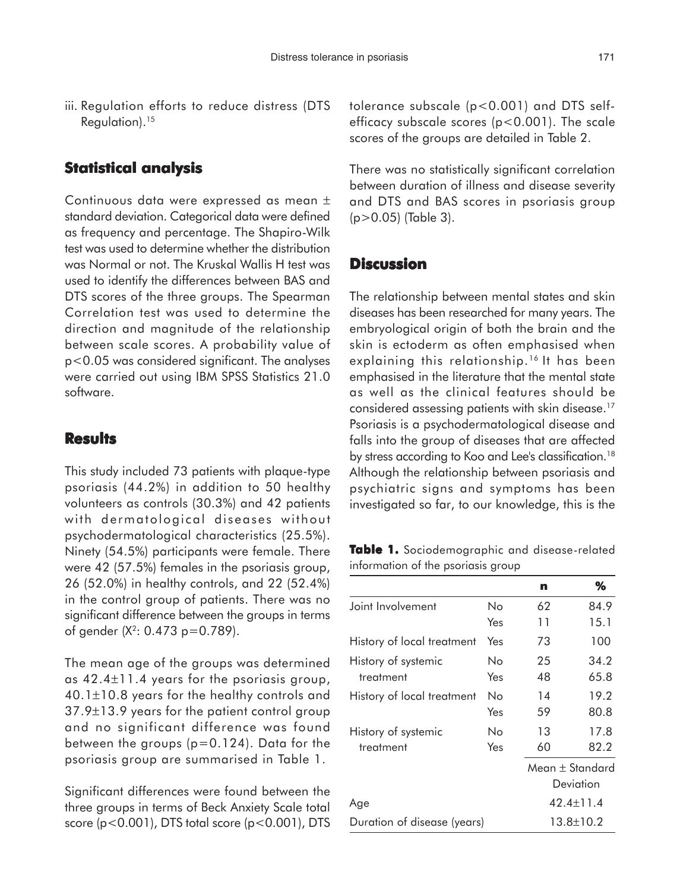iii. Regulation efforts to reduce distress (DTS Regulation).15

### **Statistical analysis**

Continuous data were expressed as mean ± standard deviation. Categorical data were defined as frequency and percentage. The Shapiro-Wilk test was used to determine whether the distribution was Normal or not. The Kruskal Wallis H test was used to identify the differences between BAS and DTS scores of the three groups. The Spearman Correlation test was used to determine the direction and magnitude of the relationship between scale scores. A probability value of p<0.05 was considered significant. The analyses were carried out using IBM SPSS Statistics 21.0 software.

#### **Results**

This study included 73 patients with plaque-type psoriasis (44.2%) in addition to 50 healthy volunteers as controls (30.3%) and 42 patients with dermatological diseases without psychodermatological characteristics (25.5%). Ninety (54.5%) participants were female. There were 42 (57.5%) females in the psoriasis group, 26 (52.0%) in healthy controls, and 22 (52.4%) in the control group of patients. There was no significant difference between the groups in terms of gender  $(X^2: 0.473 \text{ p} = 0.789)$ .

The mean age of the groups was determined as 42.4±11.4 years for the psoriasis group, 40.1±10.8 years for the healthy controls and 37.9±13.9 years for the patient control group and no significant difference was found between the groups  $(p=0.124)$ . Data for the psoriasis group are summarised in Table 1.

Significant differences were found between the three groups in terms of Beck Anxiety Scale total score  $(p<0.001)$ , DTS total score  $(p<0.001)$ , DTS tolerance subscale (p<0.001) and DTS selfefficacy subscale scores (p<0.001). The scale scores of the groups are detailed in Table 2.

There was no statistically significant correlation between duration of illness and disease severity and DTS and BAS scores in psoriasis group (p>0.05) (Table 3).

#### **Discussion**

The relationship between mental states and skin diseases has been researched for many years. The embryological origin of both the brain and the skin is ectoderm as often emphasised when explaining this relationship.<sup>16</sup> It has been emphasised in the literature that the mental state as well as the clinical features should be considered assessing patients with skin disease.17 Psoriasis is a psychodermatological disease and falls into the group of diseases that are affected by stress according to Koo and Lee's classification.<sup>18</sup> Although the relationship between psoriasis and psychiatric signs and symptoms has been investigated so far, to our knowledge, this is the

**Table 1.** Sociodemographic and disease-related information of the psoriasis group

|                             |     | n                   | ℅    |
|-----------------------------|-----|---------------------|------|
| Joint Involvement           | No  | 62                  | 84.9 |
|                             | Yes | 11                  | 15.1 |
| History of local treatment  | Yes | 73                  | 100  |
| History of systemic         | Nο  | 25                  | 34.2 |
| treatment                   | Yes | 48                  | 65.8 |
| History of local treatment  | Nο  | 14                  | 19.2 |
|                             | Yes | 59                  | 80.8 |
| History of systemic         | Nο  | 13                  | 17.8 |
| treatment                   | Yes | 60                  | 82.2 |
|                             |     | Mean $\pm$ Standard |      |
|                             |     | Deviation           |      |
| Age                         |     | $42.4 \pm 11.4$     |      |
| Duration of disease (years) |     | 13.8±10.2           |      |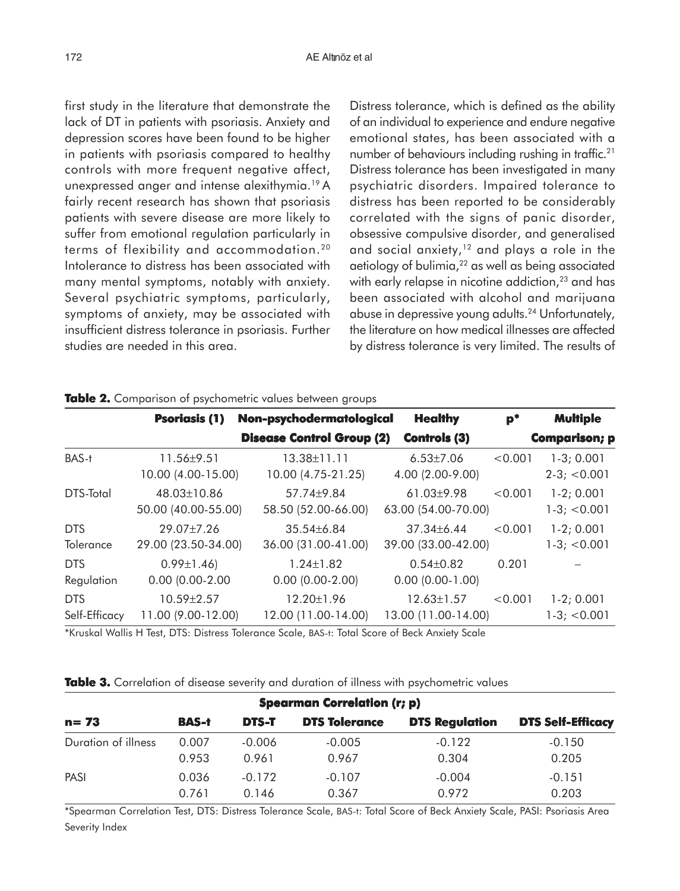first study in the literature that demonstrate the lack of DT in patients with psoriasis. Anxiety and depression scores have been found to be higher in patients with psoriasis compared to healthy controls with more frequent negative affect, unexpressed anger and intense alexithymia.19 A fairly recent research has shown that psoriasis patients with severe disease are more likely to suffer from emotional regulation particularly in terms of flexibility and accommodation.20 Intolerance to distress has been associated with many mental symptoms, notably with anxiety. Several psychiatric symptoms, particularly, symptoms of anxiety, may be associated with insufficient distress tolerance in psoriasis. Further studies are needed in this area.

Distress tolerance, which is defined as the ability of an individual to experience and endure negative emotional states, has been associated with a number of behaviours including rushing in traffic.21 Distress tolerance has been investigated in many psychiatric disorders. Impaired tolerance to distress has been reported to be considerably correlated with the signs of panic disorder, obsessive compulsive disorder, and generalised and social anxiety, $12$  and plays a role in the aetiology of bulimia, $22$  as well as being associated with early relapse in nicotine addiction,<sup>23</sup> and has been associated with alcohol and marijuana abuse in depressive young adults.24 Unfortunately, the literature on how medical illnesses are affected by distress tolerance is very limited. The results of

|                  | <b>Psoriasis (1)</b> | Non-psychodermatological         | <b>Healthy</b>         | $p^*$   | <b>Multiple</b>      |
|------------------|----------------------|----------------------------------|------------------------|---------|----------------------|
|                  |                      | <b>Disease Control Group (2)</b> | <b>Controls (3)</b>    |         | <b>Comparison; p</b> |
| BAS-t            | $11.56 \pm 9.51$     | $13.38 \pm 11.11$                | $6.53 \pm 7.06$        | < 0.001 | $1-3; 0.001$         |
|                  | 10.00 (4.00-15.00)   | 10.00 (4.75-21.25)               | 4.00 (2.00-9.00)       |         | $2-3$ ; < 0.001      |
| DTS-Total        | 48.03±10.86          | $57.74 + 9.84$                   | $61.03{\pm}9.98$       | < 0.001 | $1-2; 0.001$         |
|                  | 50.00 (40.00-55.00)  | 58.50 (52.00-66.00)              | 63.00 (54.00-70.00)    |         | $1-3$ ; $< 0.001$    |
| <b>DTS</b>       | $29.07 + 7.26$       | $35.54\pm 6.84$                  | $37.34 \pm 6.44$       | < 0.001 | $1-2; 0.001$         |
| <b>Tolerance</b> | 29.00 (23.50-34.00)  | 36.00 (31.00-41.00)              | 39.00 (33.00-42.00)    |         | $1-3$ ; < 0.001      |
| <b>DTS</b>       | $0.99 \pm 1.46$      | $1.24 \pm 1.82$                  | $0.54 \pm 0.82$        | 0.201   |                      |
| Regulation       | $0.00(0.00-2.00)$    | $0.00$ $(0.00 - 2.00)$           | $0.00$ $(0.00 - 1.00)$ |         |                      |
| <b>DTS</b>       | 10.59±2.57           | 12.20±1.96                       | $12.63 \pm 1.57$       | < 0.001 | $1-2; 0.001$         |
| Self-Efficacy    | 11.00 (9.00-12.00)   | 12.00 (11.00-14.00)              | 13.00 (11.00-14.00)    |         | $1-3$ ; $< 0.001$    |

#### **Table 2.** Comparison of psychometric values between groups

\*Kruskal Wallis H Test, DTS: Distress Tolerance Scale, BAS-t: Total Score of Beck Anxiety Scale

| <b>Spearman Correlation (r; p)</b> |              |              |                      |                       |                          |  |  |  |
|------------------------------------|--------------|--------------|----------------------|-----------------------|--------------------------|--|--|--|
| $n = 73$                           | <b>BAS-t</b> | <b>DTS-T</b> | <b>DTS Tolerance</b> | <b>DTS Regulation</b> | <b>DTS Self-Efficacy</b> |  |  |  |
| Duration of illness                | 0.007        | $-0.006$     | $-0.005$             | $-0.122$              | $-0.150$                 |  |  |  |
|                                    | 0.953        | 0.961        | 0.967                | 0.304                 | 0.205                    |  |  |  |
| PASI                               | 0.036        | $-0.172$     | $-0.107$             | $-0.004$              | $-0.151$                 |  |  |  |
|                                    | 0.761        | 0.146        | 0.367                | 0.972                 | 0.203                    |  |  |  |

**Table 3.** Correlation of disease severity and duration of illness with psychometric values

\*Spearman Correlation Test, DTS: Distress Tolerance Scale, BAS-t: Total Score of Beck Anxiety Scale, PASI: Psoriasis Area Severity Index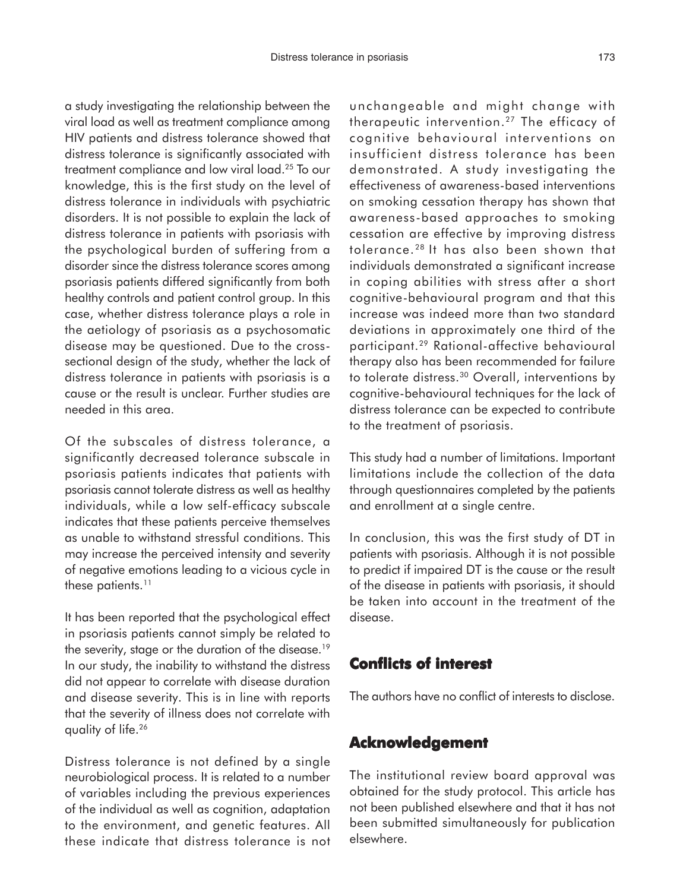a study investigating the relationship between the viral load as well as treatment compliance among HIV patients and distress tolerance showed that distress tolerance is significantly associated with treatment compliance and low viral load.25 To our knowledge, this is the first study on the level of distress tolerance in individuals with psychiatric disorders. It is not possible to explain the lack of distress tolerance in patients with psoriasis with the psychological burden of suffering from a disorder since the distress tolerance scores among psoriasis patients differed significantly from both healthy controls and patient control group. In this case, whether distress tolerance plays a role in the aetiology of psoriasis as a psychosomatic disease may be questioned. Due to the crosssectional design of the study, whether the lack of distress tolerance in patients with psoriasis is a cause or the result is unclear. Further studies are needed in this area.

Of the subscales of distress tolerance, a significantly decreased tolerance subscale in psoriasis patients indicates that patients with psoriasis cannot tolerate distress as well as healthy individuals, while a low self-efficacy subscale indicates that these patients perceive themselves as unable to withstand stressful conditions. This may increase the perceived intensity and severity of negative emotions leading to a vicious cycle in these patients.<sup>11</sup>

It has been reported that the psychological effect in psoriasis patients cannot simply be related to the severity, stage or the duration of the disease.<sup>19</sup> In our study, the inability to withstand the distress did not appear to correlate with disease duration and disease severity. This is in line with reports that the severity of illness does not correlate with quality of life.26

Distress tolerance is not defined by a single neurobiological process. It is related to a number of variables including the previous experiences of the individual as well as cognition, adaptation to the environment, and genetic features. All these indicate that distress tolerance is not unchangeable and might change with therapeutic intervention.27 The efficacy of cognitive behavioural interventions on insufficient distress tolerance has been demonstrated. A study investigating the effectiveness of awareness-based interventions on smoking cessation therapy has shown that awareness-based approaches to smoking cessation are effective by improving distress tolerance. 28 It has also been shown that individuals demonstrated a significant increase in coping abilities with stress after a short cognitive-behavioural program and that this increase was indeed more than two standard deviations in approximately one third of the participant.29 Rational-affective behavioural therapy also has been recommended for failure to tolerate distress.30 Overall, interventions by cognitive-behavioural techniques for the lack of distress tolerance can be expected to contribute to the treatment of psoriasis.

This study had a number of limitations. Important limitations include the collection of the data through questionnaires completed by the patients and enrollment at a single centre.

In conclusion, this was the first study of DT in patients with psoriasis. Although it is not possible to predict if impaired DT is the cause or the result of the disease in patients with psoriasis, it should be taken into account in the treatment of the disease.

### **Conflicts of interest Conflicts of**

The authors have no conflict of interests to disclose.

#### **Acknowledgement Acknowledgement**

The institutional review board approval was obtained for the study protocol. This article has not been published elsewhere and that it has not been submitted simultaneously for publication elsewhere.